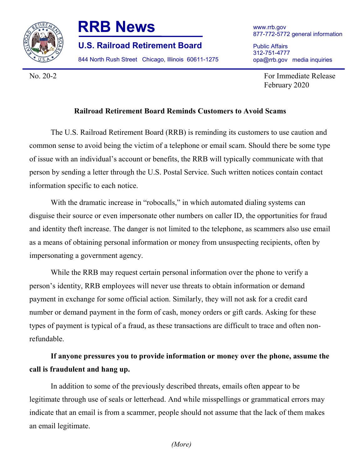

## **RRB News**

**U.S. Railroad Retirement Board**

844 North Rush Street Chicago, Illinois 60611-1275

Public Affairs 312-751-4777 opa@rrb.gov media inquiries

No. 20-2 For Immediate Release February 2020

## **Railroad Retirement Board Reminds Customers to Avoid Scams**

The U.S. Railroad Retirement Board (RRB) is reminding its customers to use caution and common sense to avoid being the victim of a telephone or email scam. Should there be some type of issue with an individual's account or benefits, the RRB will typically communicate with that person by sending a letter through the U.S. Postal Service. Such written notices contain contact information specific to each notice.

With the dramatic increase in "robocalls," in which automated dialing systems can disguise their source or even impersonate other numbers on caller ID, the opportunities for fraud and identity theft increase. The danger is not limited to the telephone, as scammers also use email as a means of obtaining personal information or money from unsuspecting recipients, often by impersonating a government agency.

While the RRB may request certain personal information over the phone to verify a person's identity, RRB employees will never use threats to obtain information or demand payment in exchange for some official action. Similarly, they will not ask for a credit card number or demand payment in the form of cash, money orders or gift cards. Asking for these types of payment is typical of a fraud, as these transactions are difficult to trace and often nonrefundable.

## **If anyone pressures you to provide information or money over the phone, assume the call is fraudulent and hang up.**

In addition to some of the previously described threats, emails often appear to be legitimate through use of seals or letterhead. And while misspellings or grammatical errors may indicate that an email is from a scammer, people should not assume that the lack of them makes an email legitimate.

*(More)*